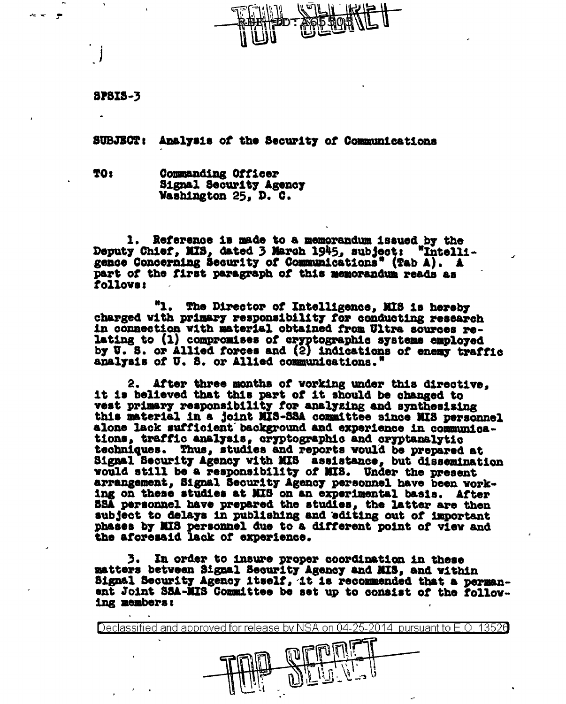**8P8IS-3** 

SUBJECT: Analysis of the Security of Communications

TO: **Commanding Officer** Signal Security Agency Washington 25, D. C.

1. Reference is made to a memorandum issued by the Deputy Chief, MIS, dated 3 March 1945, subject: "Intelligence Concerning Security of Communications" (Tab A). A part of the first paragraph of this memorandum reads as follows:

"1. The Director of Intelligence. MIS is hereby charged with primary responsibility for conducting research in connection with material obtained from Ultra sources relating to (1) compromises of cryptographic systems employed by U. S. or Allied forces and (2) indications of enemy traffic analysis of U. S. or Allied communications.'

2. After three months of vorking under this directive. it is believed that this part of it should be changed to vest primary responsibility for analyzing and synthesising this material in a joint MIS-SSA committee since MIS personnel alone lack sufficient background and experience in communications, traffic analysis, cryptographic and cryptanalytic techniques. Thus, studies and reports would be prepared at Signal Security Agency with MIS assistance, but dissemination would still be a responsibility of MIS. Under the present arrangement, Signal Security Agency personnel have been working on these studies at MIS on an experimental basis. After SSA personnel have prepared the studies, the latter are then subject to delays in publishing and editing out of important phases by MIS personnel due to a different point of view and the aforesaid lack of experience.

3. In order to insure proper coordination in these matters between Signal Security Agency and MIS, and within Signal Security Agency itself, it is recommended that a permanent Joint SSA-MIS Committee be set up to consist of the following members:

Declassified and approved for release by NSA on 04-25-2014 pursuant to E.O. 13526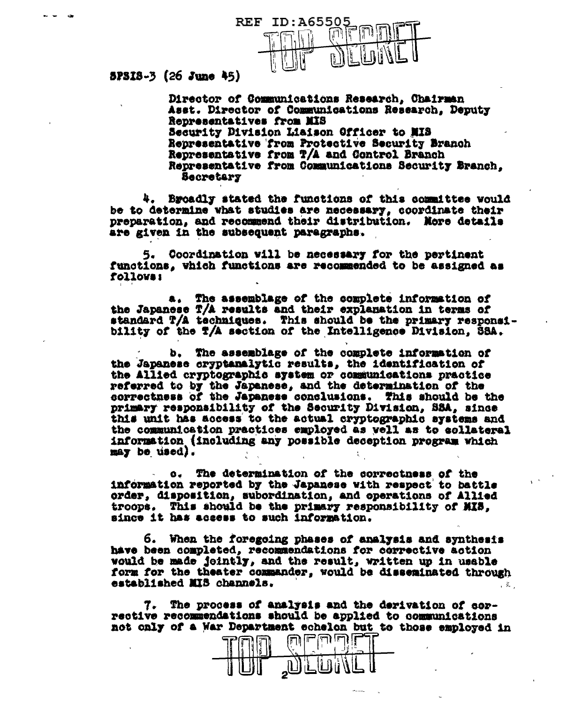

 $5P318-3$  (26 June 45)

Director of Communications Research, Chairman Asst. Director of Communications Research, Deputy Representatives from MIS Security Division Liaison Officer to MIS Representative from Protective Security Branch Representative from T/A and Control Branch Representative from Communications Security Branch. **Becretary** 

Broadly stated the functions of this commulttee would be to determine what studies are necessary, coordinate their preparation, and recommend their distribution. More details are given in the subsequent paragraphs.

5. Coordination will be necessary for the pertinent functions, which functions are recommended to be assigned as Lojjons:

a. The assemblage of the complete information of the Japanese T/A results and their explanation in terms of standard T/A techniques. This should be the primary responsibility of the T/A section of the Intelligence Division, SSA.

b. The assemblage of the complete information of the Japanese cryptanalytic results, the identification of the Allied cryptographic system or communications practice referred to by the Japanese, and the determination of the correctness of the Japanese conclusions. This should be the primary responsibility of the Security Division, SSA, since this unit has access to the actual cryptographic systems and the communication practices employed as yell as to collateral information (including any possible deception program which may be used).

The determination of the correctness of the  $\mathbf{G}_{\bullet}$ information reported by the Japanese with respect to battle order, disposition, subordination, and operations of Allied troops. This should be the primary responsibility of MIS, since it has access to such information.

6. When the foregoing phases of analysis and synthesis have been completed, recommendations for corrective action would be made jointly, and the result, written up in usable form for the theater commander, would be disseminated through established MIS channels.  $\mathcal{L}$ 

7. The process of analysis and the derivation of sorrective recommendations should be applied to communications not only of a War Department echelon but to those employed in

با (ليا (لي